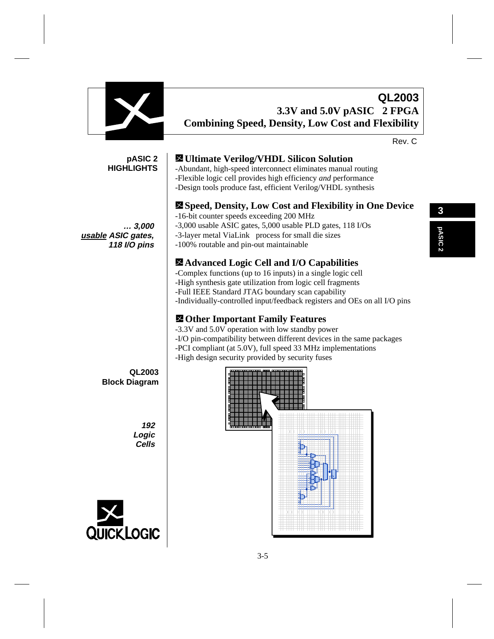

**QUICK LOGIC**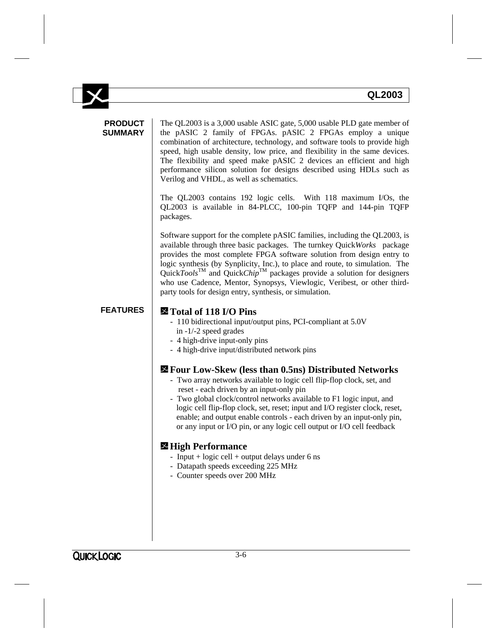|                                  | QL2003                                                                                                                                                                                                                                                                                                                                                                                                                                                                                                                                                    |
|----------------------------------|-----------------------------------------------------------------------------------------------------------------------------------------------------------------------------------------------------------------------------------------------------------------------------------------------------------------------------------------------------------------------------------------------------------------------------------------------------------------------------------------------------------------------------------------------------------|
| <b>PRODUCT</b><br><b>SUMMARY</b> | The QL2003 is a 3,000 usable ASIC gate, 5,000 usable PLD gate member of<br>the pASIC 2 family of FPGAs. pASIC 2 FPGAs employ a unique<br>combination of architecture, technology, and software tools to provide high<br>speed, high usable density, low price, and flexibility in the same devices.<br>The flexibility and speed make pASIC 2 devices an efficient and high<br>performance silicon solution for designs described using HDLs such as<br>Verilog and VHDL, as well as schematics.                                                          |
|                                  | The QL2003 contains 192 logic cells. With 118 maximum I/Os, the<br>QL2003 is available in 84-PLCC, 100-pin TQFP and 144-pin TQFP<br>packages.                                                                                                                                                                                                                                                                                                                                                                                                             |
|                                  | Software support for the complete pASIC families, including the QL2003, is<br>available through three basic packages. The turnkey Quick Works® package<br>provides the most complete FPGA software solution from design entry to<br>logic synthesis (by Synplicity, Inc.), to place and route, to simulation. The<br>QuickTools <sup>TM</sup> and QuickChip <sup>TM</sup> packages provide a solution for designers<br>who use Cadence, Mentor, Synopsys, Viewlogic, Veribest, or other third-<br>party tools for design entry, synthesis, or simulation. |
| <b>FEATURES</b>                  | Total of 118 I/O Pins<br>- 110 bidirectional input/output pins, PCI-compliant at 5.0V<br>in $-1/-2$ speed grades<br>- 4 high-drive input-only pins<br>- 4 high-drive input/distributed network pins                                                                                                                                                                                                                                                                                                                                                       |
|                                  | <b>Example 12 Four Low-Skew (less than 0.5 ns) Distributed Networks</b><br>- Two array networks available to logic cell flip-flop clock, set, and<br>reset - each driven by an input-only pin<br>- Two global clock/control networks available to F1 logic input, and<br>logic cell flip-flop clock, set, reset; input and I/O register clock, reset,<br>enable; and output enable controls - each driven by an input-only pin,<br>or any input or I/O pin, or any logic cell output or I/O cell feedback                                                 |
|                                  | <b>⊠</b> High Performance                                                                                                                                                                                                                                                                                                                                                                                                                                                                                                                                 |

- Input + logic cell + output delays under 6 ns
- Datapath speeds exceeding 225 MHz
- Counter speeds over 200 MHz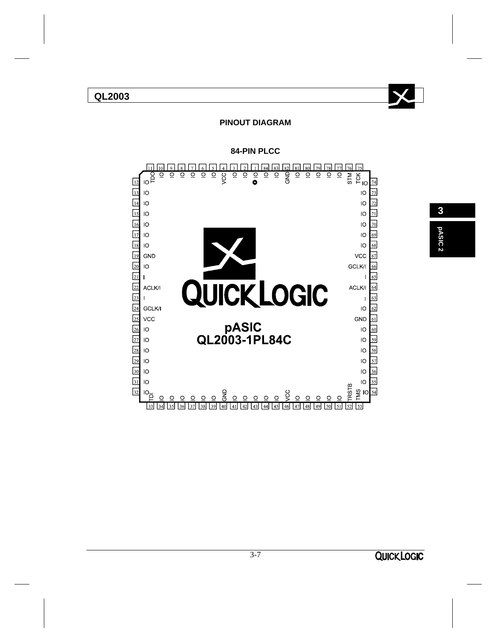# **QL2003**



### **PINOUT DIAGRAM**



**84-PIN PLCC**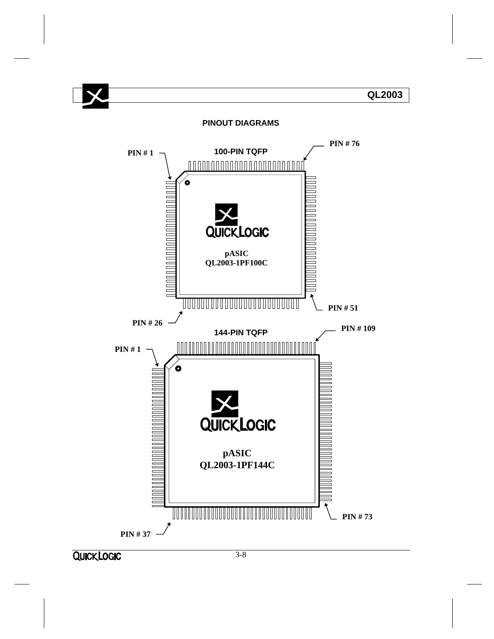

**QUICK LOGIC**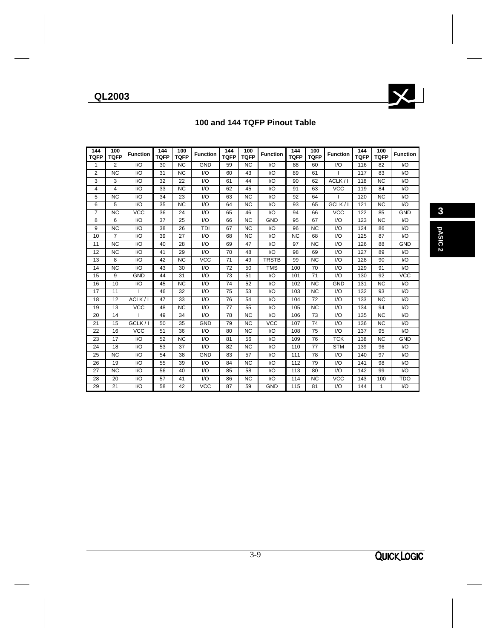**QL2003**



# **100 and 144 TQFP Pinout Table**

| 144<br><b>TQFP</b> | 100<br><b>TQFP</b> | <b>Function</b> | 144<br><b>TQFP</b> | 100<br><b>TQFP</b> | <b>Function</b> | 144<br><b>TQFP</b> | 100<br><b>TQFP</b> | <b>Function</b> | 144<br><b>TQFP</b> | 100<br><b>TQFP</b> | <b>Function</b> | 144<br><b>TQFP</b> | 100<br><b>TQFP</b> | <b>Function</b>  |
|--------------------|--------------------|-----------------|--------------------|--------------------|-----------------|--------------------|--------------------|-----------------|--------------------|--------------------|-----------------|--------------------|--------------------|------------------|
| 1                  | $\overline{2}$     | $U$             | 30                 | <b>NC</b>          | GND             | 59                 | <b>NC</b>          | I/O             | 88                 | 60                 | 1/O             | 116                | 82                 | I/O              |
| 2                  | <b>NC</b>          | $U$             | 31                 | <b>NC</b>          | $U$             | 60                 | 43                 | $U$             | 89                 | 61                 | $\mathbf{I}$    | 117                | 83                 | 1/O              |
| 3                  | 3                  | $1/O$           | 32                 | 22                 | 1/O             | 61                 | 44                 | 1/O             | 90                 | 62                 | ACLK/I          | 118                | <b>NC</b>          | $\overline{1/O}$ |
| 4                  | 4                  | $1/O$           | 33                 | <b>NC</b>          | $1/O$           | 62                 | 45                 | 1/O             | 91                 | 63                 | <b>VCC</b>      | 119                | 84                 | I/O              |
| 5                  | <b>NC</b>          | $1/O$           | 34                 | 23                 | $1/O$           | 63                 | <b>NC</b>          | $U$             | 92                 | 64                 |                 | 120                | <b>NC</b>          | I/O              |
| 6                  | 5                  | $U$             | 35                 | <b>NC</b>          | $U$             | 64                 | <b>NC</b>          | 1/O             | 93                 | 65                 | GCLK/I          | 121                | <b>NC</b>          | I/O              |
| 7                  | <b>NC</b>          | <b>VCC</b>      | 36                 | 24                 | 1/O             | 65                 | 46                 | 1/O             | 94                 | 66                 | <b>VCC</b>      | 122                | 85                 | GND              |
| 8                  | 6                  | I/O             | 37                 | 25                 | 1/O             | 66                 | <b>NC</b>          | <b>GND</b>      | 95                 | 67                 | $U$             | 123                | <b>NC</b>          | $\overline{1/O}$ |
| 9                  | <b>NC</b>          | $1/O$           | 38                 | 26                 | TDI             | 67                 | <b>NC</b>          | 1/O             | 96                 | <b>NC</b>          | $1/O$           | 124                | 86                 | I/O              |
| 10                 | $\overline{7}$     | $1/O$           | 39                 | 27                 | $1/O$           | 68                 | <b>NC</b>          | 1/O             | <b>NC</b>          | 68                 | $1/O$           | 125                | 87                 | I/O              |
| 11                 | <b>NC</b>          | $U$             | 40                 | 28                 | $U$             | 69                 | 47                 | 1/O             | 97                 | <b>NC</b>          | $U$             | 126                | 88                 | <b>GND</b>       |
| 12                 | <b>NC</b>          | I/O             | 41                 | 29                 | $1/O$           | 70                 | 48                 | I/O             | 98                 | 69                 | $UO$            | 127                | 89                 | I/O              |
| 13                 | 8                  | $U$             | 42                 | <b>NC</b>          | <b>VCC</b>      | 71                 | 49                 | <b>TRSTB</b>    | 99                 | <b>NC</b>          | $U$             | 128                | 90                 | 1/O              |
| 14                 | <b>NC</b>          | I/O             | 43                 | 30                 | $U$             | 72                 | 50                 | <b>TMS</b>      | 100                | 70                 | $U$             | 129                | 91                 | I/O              |
| 15                 | 9                  | GND             | 44                 | 31                 | $U$             | 73                 | 51                 | I/O             | 101                | 71                 | $U$             | 130                | 92                 | $\overline{VCC}$ |
| 16                 | 10                 | I/O             | 45                 | <b>NC</b>          | $U$             | 74                 | 52                 | I/O             | 102                | <b>NC</b>          | <b>GND</b>      | 131                | <b>NC</b>          | I/O              |
| 17                 | 11                 | ı               | 46                 | 32                 | 1/O             | 75                 | 53                 | 1/O             | 103                | <b>NC</b>          | $UO$            | 132                | 93                 | $\overline{1/O}$ |
| 18                 | 12                 | ACLK/I          | 47                 | 33                 | 1/O             | 76                 | 54                 | I/O             | 104                | 72                 | $U$             | 133                | <b>NC</b>          | I/O              |
| 19                 | 13                 | <b>VCC</b>      | 48                 | <b>NC</b>          | 1/O             | 77                 | 55                 | 1/O             | 105                | <b>NC</b>          | $U$             | 134                | 94                 | I/O              |
| 20                 | 14                 | T               | 49                 | 34                 | 1/O             | 78                 | <b>NC</b>          | 1/O             | 106                | 73                 | $U$             | 135                | <b>NC</b>          | I/O              |
| 21                 | 15                 | GCLK/I          | 50                 | 35                 | <b>GND</b>      | 79                 | <b>NC</b>          | <b>VCC</b>      | 107                | 74                 | $U$             | 136                | <b>NC</b>          | I/O              |
| 22                 | 16                 | <b>VCC</b>      | 51                 | 36                 | 1/O             | 80                 | <b>NC</b>          | 1/O             | 108                | 75                 | $U$             | 137                | 95                 | $\overline{1/O}$ |
| 23                 | 17                 | $U$             | 52                 | <b>NC</b>          | $U$             | 81                 | 56                 | I/O             | 109                | 76                 | <b>TCK</b>      | 138                | <b>NC</b>          | <b>GND</b>       |
| 24                 | 18                 | 1/O             | 53                 | 37                 | $U$             | 82                 | <b>NC</b>          | 1/O             | 110                | 77                 | <b>STM</b>      | 139                | 96                 | I/O              |
| 25                 | <b>NC</b>          | $U$             | 54                 | 38                 | <b>GND</b>      | 83                 | 57                 | $U$             | 111                | 78                 | $U$             | 140                | 97                 | I/O              |
| 26                 | 19                 | $U$             | 55                 | 39                 | $U$             | 84                 | <b>NC</b>          | 1/O             | 112                | 79                 | $U$             | 141                | 98                 | $\mathsf{IO}$    |
| 27                 | <b>NC</b>          | $U$             | 56                 | 40                 | $U$             | 85                 | 58                 | 1/O             | 113                | 80                 | $U$             | 142                | 99                 | $\overline{1/O}$ |
| 28                 | 20                 | 1/O             | 57                 | 41                 | 1/O             | 86                 | <b>NC</b>          | I/O             | 114                | <b>NC</b>          | <b>VCC</b>      | 143                | 100                | <b>TDO</b>       |
| 29                 | 21                 | $UO$            | 58                 | 42                 | <b>VCC</b>      | 87                 | 59                 | GND             | 115                | 81                 | $1/O$           | 144                | $\mathbf{1}$       | $\overline{1/O}$ |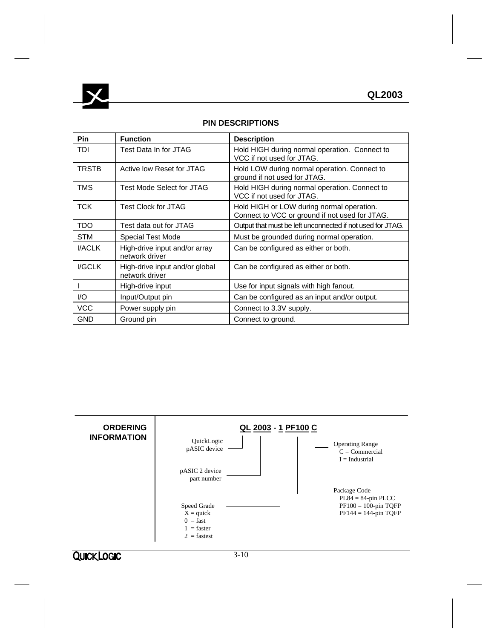

#### **PIN DESCRIPTIONS**

| Pin          | <b>Function</b>                                  | <b>Description</b>                                                                          |
|--------------|--------------------------------------------------|---------------------------------------------------------------------------------------------|
| TDI          | Test Data In for JTAG                            | Hold HIGH during normal operation. Connect to<br>VCC if not used for JTAG.                  |
| <b>TRSTB</b> | Active low Reset for JTAG                        | Hold LOW during normal operation. Connect to<br>ground if not used for JTAG.                |
| <b>TMS</b>   | Test Mode Select for JTAG                        | Hold HIGH during normal operation. Connect to<br>VCC if not used for JTAG.                  |
| <b>TCK</b>   | <b>Test Clock for JTAG</b>                       | Hold HIGH or LOW during normal operation.<br>Connect to VCC or ground if not used for JTAG. |
| <b>TDO</b>   | Test data out for JTAG                           | Output that must be left unconnected if not used for JTAG.                                  |
| <b>STM</b>   | Special Test Mode                                | Must be grounded during normal operation.                                                   |
| I/ACLK       | High-drive input and/or array<br>network driver  | Can be configured as either or both.                                                        |
| I/GCLK       | High-drive input and/or global<br>network driver | Can be configured as either or both.                                                        |
|              | High-drive input                                 | Use for input signals with high fanout.                                                     |
| 1/O          | Input/Output pin                                 | Can be configured as an input and/or output.                                                |
| <b>VCC</b>   | Power supply pin                                 | Connect to 3.3V supply.                                                                     |
| <b>GND</b>   | Ground pin                                       | Connect to ground.                                                                          |

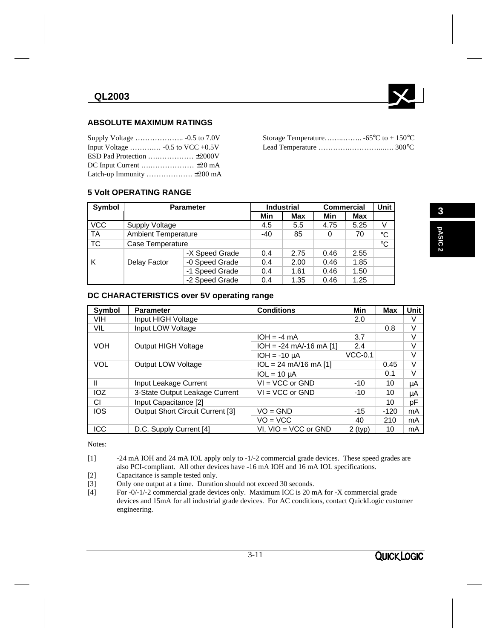# **QL2003**



### **ABSOLUTE MAXIMUM RATINGS**

| Input Voltage  -0.5 to VCC +0.5V |  |  |
|----------------------------------|--|--|

#### **5 Volt OPERATING RANGE**

| Symbol     | <b>Parameter</b>           |                | <b>Industrial</b> | <b>Commercial</b> | <b>Unit</b> |      |              |
|------------|----------------------------|----------------|-------------------|-------------------|-------------|------|--------------|
|            |                            |                | Min               | Max               | Min         | Max  |              |
| <b>VCC</b> | <b>Supply Voltage</b>      |                | 4.5               | 5.5               | 4.75        | 5.25 | V            |
| <b>TA</b>  | <b>Ambient Temperature</b> |                | $-40$             | 85                | 0           | 70   | $^{\circ}$ C |
| <b>TC</b>  | Case Temperature           |                |                   |                   |             |      | $^{\circ}$ C |
|            |                            | -X Speed Grade | 0.4               | 2.75              | 0.46        | 2.55 |              |
| ΙK         | Delay Factor               | -0 Speed Grade | 0.4               | 2.00              | 0.46        | 1.85 |              |
|            |                            | -1 Speed Grade | 0.4               | 1.61              | 0.46        | 1.50 |              |
|            |                            | -2 Speed Grade | 0.4               | 1.35              | 0.46        | 1.25 |              |

#### **DC CHARACTERISTICS over 5V operating range**

| <b>Symbol</b> | <b>Parameter</b>                 | <b>Conditions</b>                       | <b>Min</b> | Max    | Unit |
|---------------|----------------------------------|-----------------------------------------|------------|--------|------|
| <b>VIH</b>    | Input HIGH Voltage               |                                         | 2.0        |        | V    |
| VIL           | Input LOW Voltage                |                                         |            | 0.8    | V    |
|               |                                  | $IOH = -4 mA$                           | 3.7        |        | V    |
| <b>VOH</b>    | <b>Output HIGH Voltage</b>       | $IOH = -24$ mA/-16 mA [1]               | 2.4        |        | V    |
|               |                                  | $IOH = -10 \mu A$                       | $VCC-0.1$  |        | V    |
| <b>VOL</b>    | Output LOW Voltage               | $1OL = 24 \text{ mA}/16 \text{ mA}$ [1] |            | 0.45   | V    |
|               |                                  | $1OL = 10 \mu A$                        |            | 0.1    | V    |
| Ш             | Input Leakage Current            | $VI = VCC$ or $GND$                     | $-10$      | 10     | μA   |
| IOZ           | 3-State Output Leakage Current   | $VI = VCC$ or $GND$                     | $-10$      | 10     | μA   |
| СI            | Input Capacitance [2]            |                                         |            | 10     | pF   |
| <b>IOS</b>    | Output Short Circuit Current [3] | $VO = GND$                              | $-15$      | $-120$ | mA   |
|               |                                  | $VO = VCC$                              | 40         | 210    | mA   |
| <b>ICC</b>    | D.C. Supply Current [4]          | VI, $VIO = VCC$ or $GND$                | $2$ (typ)  | 10     | mA   |

Notes:

- [1] -24 mA IOH and 24 mA IOL apply only to -1/-2 commercial grade devices. These speed grades are also PCI-compliant. All other devices have -16 mA IOH and 16 mA IOL specifications.
- [2] Capacitance is sample tested only.<br>[3] Only one output at a time. Duration
- Only one output at a time. Duration should not exceed 30 seconds.
- [4] For -0/-1/-2 commercial grade devices only. Maximum ICC is 20 mA for -X commercial grade devices and 15mA for all industrial grade devices. For AC conditions, contact QuickLogic customer engineering.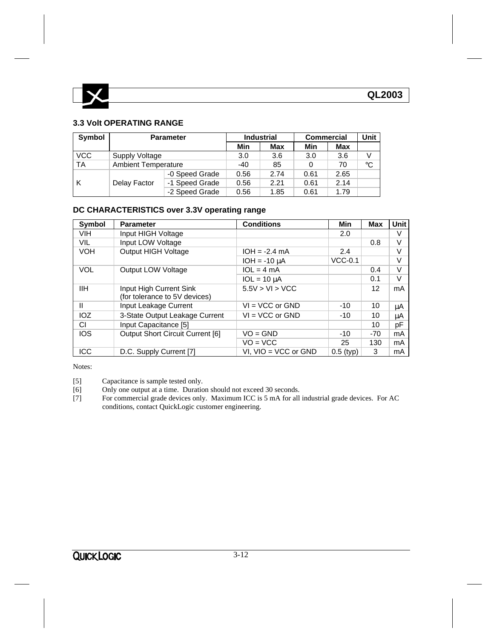

### **3.3 Volt OPERATING RANGE**

| Symbol     | <b>Parameter</b>           |                | <b>Industrial</b> | <b>Commercial</b> | Unit |            |             |
|------------|----------------------------|----------------|-------------------|-------------------|------|------------|-------------|
|            |                            |                | Min               | <b>Max</b>        | Min  | <b>Max</b> |             |
| <b>VCC</b> | Supply Voltage             |                | 3.0               | 3.6               | 3.0  | 3.6        |             |
| TA         | <b>Ambient Temperature</b> |                | $-40$             | 85                | 0    | 70         | $^{\circ}C$ |
|            |                            | -0 Speed Grade | 0.56              | 2.74              | 0.61 | 2.65       |             |
| K          | Delay Factor               | -1 Speed Grade | 0.56              | 2.21              | 0.61 | 2.14       |             |
|            |                            | 0.56           | 1.85              | 0.61              | 1.79 |            |             |

## **DC CHARACTERISTICS over 3.3V operating range**

| <b>Symbol</b> | <b>Parameter</b>                                         | <b>Conditions</b>        | Min         | <b>Max</b> | Unit |
|---------------|----------------------------------------------------------|--------------------------|-------------|------------|------|
| <b>VIH</b>    | Input HIGH Voltage                                       |                          | 2.0         |            | V    |
| VIL           | Input LOW Voltage                                        |                          |             | 0.8        | V    |
| <b>VOH</b>    | <b>Output HIGH Voltage</b>                               | $IOH = -2.4 mA$          | 2.4         |            | V    |
|               |                                                          | $IOH = -10 uA$           | $VCC-0.1$   |            | V    |
| <b>VOL</b>    | Output LOW Voltage                                       | $1OL = 4 mA$             |             | 0.4        | V    |
|               |                                                          | $1OL = 10 \mu A$         |             | 0.1        | V    |
| IІH           | Input High Current Sink<br>(for tolerance to 5V devices) | 5.5V > VI > VCC          |             | 12         | mA   |
| Ш             | Input Leakage Current                                    | $VI = VCC$ or $GND$      | $-10$       | 10         | μA   |
| IOZ           | 3-State Output Leakage Current                           | $VI = VCC$ or $GND$      | $-10$       | 10         | μA   |
| СI            | Input Capacitance [5]                                    |                          |             | 10         | pF   |
| <b>IOS</b>    | Output Short Circuit Current [6]                         | $VO = GND$               | $-10$       | $-70$      | mA   |
|               |                                                          | $VO = VCC$               | 25          | 130        | mA   |
| <b>ICC</b>    | D.C. Supply Current [7]                                  | VI. $VIO = VCC$ or $GND$ | $0.5$ (typ) | 3          | mA   |

Notes:

[5] Capacitance is sample tested only.<br>[6] Only one output at a time. Duration

- Only one output at a time. Duration should not exceed 30 seconds.
- [7] For commercial grade devices only. Maximum ICC is 5 mA for all industrial grade devices. For AC conditions, contact QuickLogic customer engineering.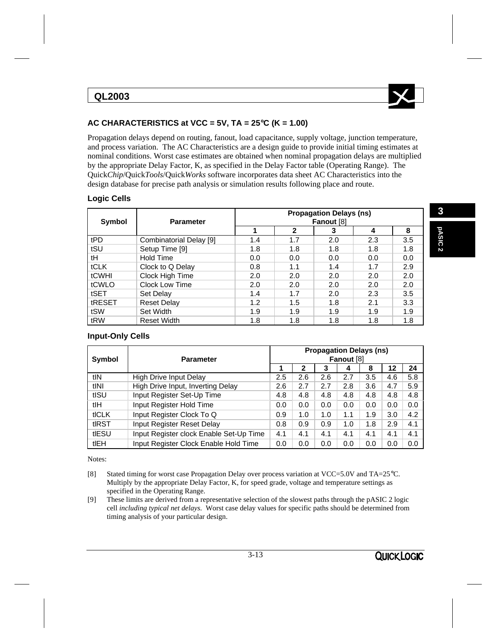

## **AC CHARACTERISTICS at VCC = 5V, TA = 25**°**C (K = 1.00)**

Propagation delays depend on routing, fanout, load capacitance, supply voltage, junction temperature, and process variation. The AC Characteristics are a design guide to provide initial timing estimates at nominal conditions. Worst case estimates are obtained when nominal propagation delays are multiplied by the appropriate Delay Factor, K, as specified in the Delay Factor table (Operating Range). The Quick*Chip*/Quick*Tools*/Quick*Works* software incorporates data sheet AC Characteristics into the design database for precise path analysis or simulation results following place and route.

### **Logic Cells**

| <b>Symbol</b> | <b>Parameter</b>        | <b>Propagation Delays (ns)</b><br>Fanout [8] |     |     |     |     |  |  |  |
|---------------|-------------------------|----------------------------------------------|-----|-----|-----|-----|--|--|--|
|               |                         |                                              | 2   | 3   |     | 8   |  |  |  |
| tPD           | Combinatorial Delay [9] | 1.4                                          | 1.7 | 2.0 | 2.3 | 3.5 |  |  |  |
| tSU           | Setup Time [9]          | 1.8                                          | 1.8 | 1.8 | 1.8 | 1.8 |  |  |  |
| tH            | Hold Time               | 0.0                                          | 0.0 | 0.0 | 0.0 | 0.0 |  |  |  |
| <b>tCLK</b>   | Clock to Q Delay        | 0.8                                          | 1.1 | 1.4 | 1.7 | 2.9 |  |  |  |
| tCWHI         | Clock High Time         | 2.0                                          | 2.0 | 2.0 | 2.0 | 2.0 |  |  |  |
| tCWLO         | Clock Low Time          | 2.0                                          | 2.0 | 2.0 | 2.0 | 2.0 |  |  |  |
| tSET          | Set Delay               | 1.4                                          | 1.7 | 2.0 | 2.3 | 3.5 |  |  |  |
| tRESET        | <b>Reset Delay</b>      | 1.2                                          | 1.5 | 1.8 | 2.1 | 3.3 |  |  |  |
| tSW           | Set Width               | 1.9                                          | 1.9 | 1.9 | 1.9 | 1.9 |  |  |  |
| tRW           | <b>Reset Width</b>      | 1.8                                          | 1.8 | 1.8 | 1.8 | 1.8 |  |  |  |

#### **Input-Only Cells**

| Symbol | <b>Parameter</b>                        |     | <b>Propagation Delays (ns)</b><br>Fanout [8] |     |     |     |     |     |  |  |
|--------|-----------------------------------------|-----|----------------------------------------------|-----|-----|-----|-----|-----|--|--|
|        |                                         |     |                                              |     |     |     |     |     |  |  |
|        |                                         |     | 2                                            | 3   | 4   | 8   | 12  | 24  |  |  |
| tlN    | High Drive Input Delay                  | 2.5 | 2.6                                          | 2.6 | 2.7 | 3.5 | 4.6 | 5.8 |  |  |
| tINI   | High Drive Input, Inverting Delay       | 2.6 | 2.7                                          | 2.7 | 2.8 | 3.6 | 4.7 | 5.9 |  |  |
| tISU   | Input Register Set-Up Time              | 4.8 | 4.8                                          | 4.8 | 4.8 | 4.8 | 4.8 | 4.8 |  |  |
| tlH    | Input Register Hold Time                | 0.0 | 0.0                                          | 0.0 | 0.0 | 0.0 | 0.0 | 0.0 |  |  |
| tICLK  | Input Register Clock To Q               | 0.9 | 1.0                                          | 1.0 | 1.1 | 1.9 | 3.0 | 4.2 |  |  |
| tIRST  | Input Register Reset Delay              | 0.8 | 0.9                                          | 0.9 | 1.0 | 1.8 | 2.9 | 4.1 |  |  |
| tIESU  | Input Register clock Enable Set-Up Time | 4.1 | 4.1                                          | 4.1 | 4.1 | 4.1 | 4.1 | 4.1 |  |  |
| tlEH   | Input Register Clock Enable Hold Time   | 0.0 | 0.0                                          | 0.0 | 0.0 | 0.0 | 0.0 | 0.0 |  |  |

Notes:

- [8] Stated timing for worst case Propagation Delay over process variation at VCC=5.0V and TA=25°C. Multiply by the appropriate Delay Factor, K, for speed grade, voltage and temperature settings as specified in the Operating Range.
- [9] These limits are derived from a representative selection of the slowest paths through the pASIC 2 logic cell *including typical net delays*. Worst case delay values for specific paths should be determined from timing analysis of your particular design.